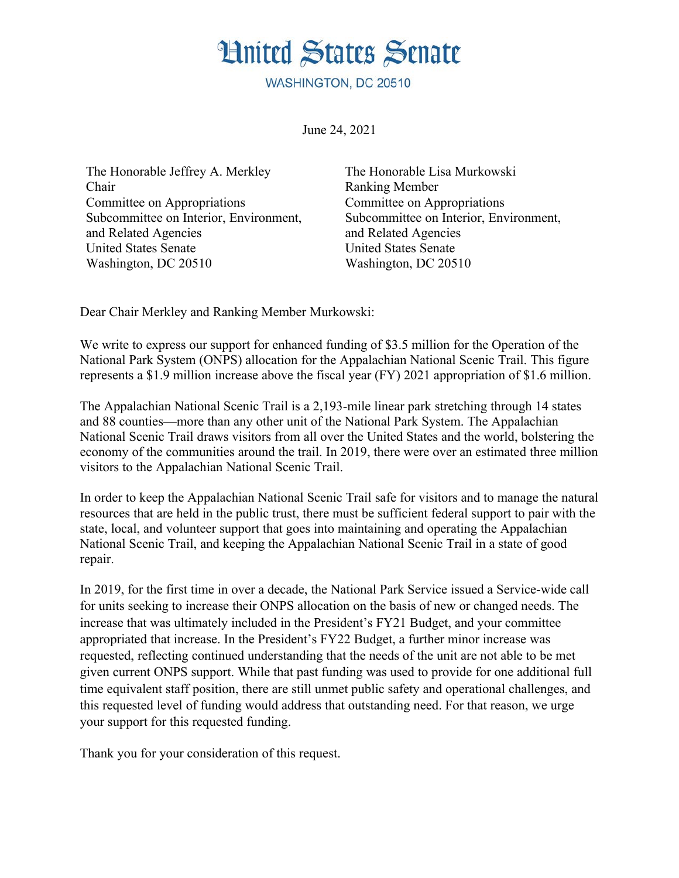## **Hnited States Senate**

WASHINGTON, DC 20510

June 24, 2021

The Honorable Jeffrey A. Merkley Chair Committee on Appropriations Subcommittee on Interior, Environment, and Related Agencies United States Senate Washington, DC 20510

The Honorable Lisa Murkowski Ranking Member Committee on Appropriations Subcommittee on Interior, Environment, and Related Agencies United States Senate Washington, DC 20510

Dear Chair Merkley and Ranking Member Murkowski:

We write to express our support for enhanced funding of \$3.5 million for the Operation of the National Park System (ONPS) allocation for the Appalachian National Scenic Trail. This figure represents a \$1.9 million increase above the fiscal year (FY) 2021 appropriation of \$1.6 million.

The Appalachian National Scenic Trail is a 2,193-mile linear park stretching through 14 states and 88 counties—more than any other unit of the National Park System. The Appalachian National Scenic Trail draws visitors from all over the United States and the world, bolstering the economy of the communities around the trail. In 2019, there were over an estimated three million visitors to the Appalachian National Scenic Trail.

In order to keep the Appalachian National Scenic Trail safe for visitors and to manage the natural resources that are held in the public trust, there must be sufficient federal support to pair with the state, local, and volunteer support that goes into maintaining and operating the Appalachian National Scenic Trail, and keeping the Appalachian National Scenic Trail in a state of good repair.

In 2019, for the first time in over a decade, the National Park Service issued a Service-wide call for units seeking to increase their ONPS allocation on the basis of new or changed needs. The increase that was ultimately included in the President's FY21 Budget, and your committee appropriated that increase. In the President's FY22 Budget, a further minor increase was requested, reflecting continued understanding that the needs of the unit are not able to be met given current ONPS support. While that past funding was used to provide for one additional full time equivalent staff position, there are still unmet public safety and operational challenges, and this requested level of funding would address that outstanding need. For that reason, we urge your support for this requested funding.

Thank you for your consideration of this request.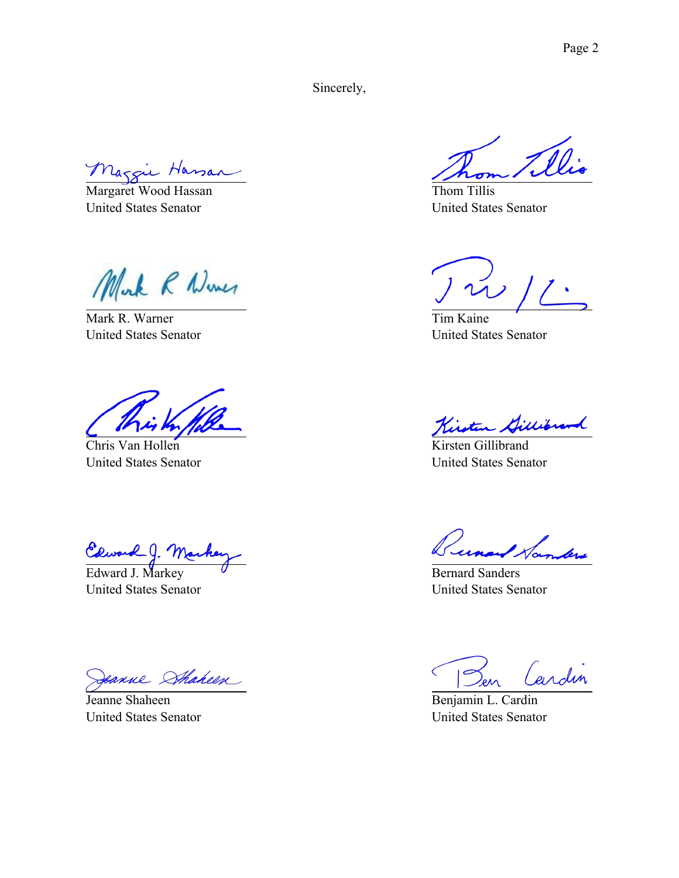Sincerely,

Margie Hassan

United States Senator

Mork R Numer

Mark R. Warner United States Senator

Chris Van Hollen United States Senator

Ceward J. Marke

United States Senator

eanne Shaheen

Jeanne Shaheen United States Senator

Thom Tillis United States Senator

 $\tilde{\omega}$  /

Tim Kaine United States Senator

Jillibran L

Kirsten Gillibrand United States Senator

Tunand Hambers

Bernard Sanders United States Senator

Cardin  $\overline{C}$ 

Benjamin L. Cardin United States Senator